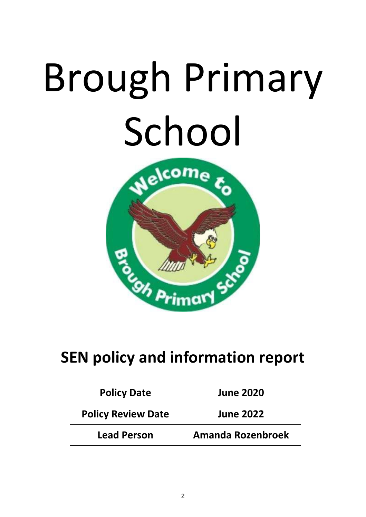# Brough Primary School



# **SEN policy and information report**

| <b>Policy Date</b>        | <b>June 2020</b>         |
|---------------------------|--------------------------|
| <b>Policy Review Date</b> | <b>June 2022</b>         |
| <b>Lead Person</b>        | <b>Amanda Rozenbroek</b> |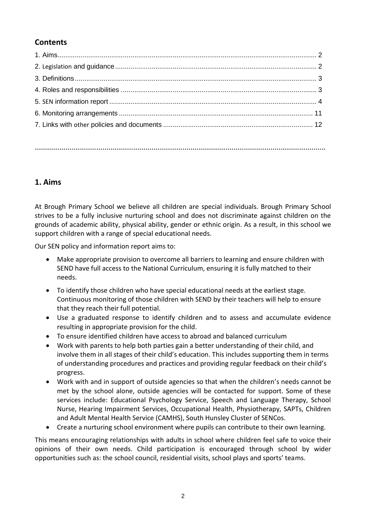# **Contents**

**…………………………………………………………………………………………………………………………….**

# **1. Aims**

At Brough Primary School we believe all children are special individuals. Brough Primary School strives to be a fully inclusive nurturing school and does not discriminate against children on the grounds of academic ability, physical ability, gender or ethnic origin. As a result, in this school we support children with a range of special educational needs.

Our SEN policy and information report aims to:

- Make appropriate provision to overcome all barriers to learning and ensure children with SEND have full access to the National Curriculum, ensuring it is fully matched to their needs.
- To identify those children who have special educational needs at the earliest stage. Continuous monitoring of those children with SEND by their teachers will help to ensure that they reach their full potential.
- Use a graduated response to identify children and to assess and accumulate evidence resulting in appropriate provision for the child.
- To ensure identified children have access to abroad and balanced curriculum
- Work with parents to help both parties gain a better understanding of their child, and involve them in all stages of their child's education. This includes supporting them in terms of understanding procedures and practices and providing regular feedback on their child's progress.
- Work with and in support of outside agencies so that when the children's needs cannot be met by the school alone, outside agencies will be contacted for support. Some of these services include: Educational Psychology Service, Speech and Language Therapy, School Nurse, Hearing Impairment Services, Occupational Health, Physiotherapy, SAPTs, Children and Adult Mental Health Service (CAMHS), South Hunsley Cluster of SENCos.
- Create a nurturing school environment where pupils can contribute to their own learning.

This means encouraging relationships with adults in school where children feel safe to voice their opinions of their own needs. Child participation is encouraged through school by wider opportunities such as: the school council, residential visits, school plays and sports' teams.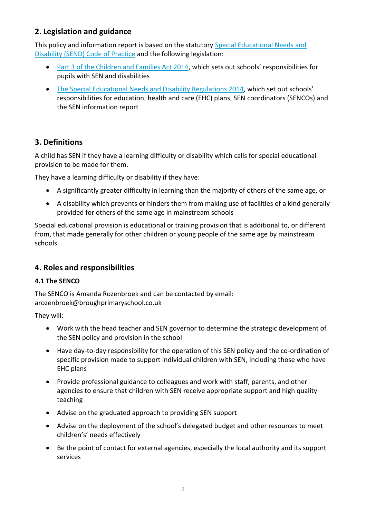# **2. Legislation and guidance**

This policy and information report is based on the statutory [Special Educational Needs and](https://www.gov.uk/government/uploads/system/uploads/attachment_data/file/398815/SEND_Code_of_Practice_January_2015.pdf)  [Disability \(SEND\) Code of Practice](https://www.gov.uk/government/uploads/system/uploads/attachment_data/file/398815/SEND_Code_of_Practice_January_2015.pdf) and the following legislation:

- [Part 3 of the Children and Families Act 2014](http://www.legislation.gov.uk/ukpga/2014/6/part/3), which sets out schools' responsibilities for pupils with SEN and disabilities
- [The Special Educational Needs and Disability Regulations 2014,](http://www.legislation.gov.uk/uksi/2014/1530/contents/made) which set out schools' responsibilities for education, health and care (EHC) plans, SEN coordinators (SENCOs) and the SEN information report

# **3. Definitions**

A child has SEN if they have a learning difficulty or disability which calls for special educational provision to be made for them.

They have a learning difficulty or disability if they have:

- A significantly greater difficulty in learning than the majority of others of the same age, or
- A disability which prevents or hinders them from making use of facilities of a kind generally provided for others of the same age in mainstream schools

Special educational provision is educational or training provision that is additional to, or different from, that made generally for other children or young people of the same age by mainstream schools.

# **4. Roles and responsibilities**

# **4.1 The SENCO**

The SENCO is Amanda Rozenbroek and can be contacted by email: arozenbroek@broughprimaryschool.co.uk

They will:

- Work with the head teacher and SEN governor to determine the strategic development of the SEN policy and provision in the school
- Have day-to-day responsibility for the operation of this SEN policy and the co-ordination of specific provision made to support individual children with SEN, including those who have EHC plans
- Provide professional guidance to colleagues and work with staff, parents, and other agencies to ensure that children with SEN receive appropriate support and high quality teaching
- Advise on the graduated approach to providing SEN support
- Advise on the deployment of the school's delegated budget and other resources to meet children's' needs effectively
- Be the point of contact for external agencies, especially the local authority and its support services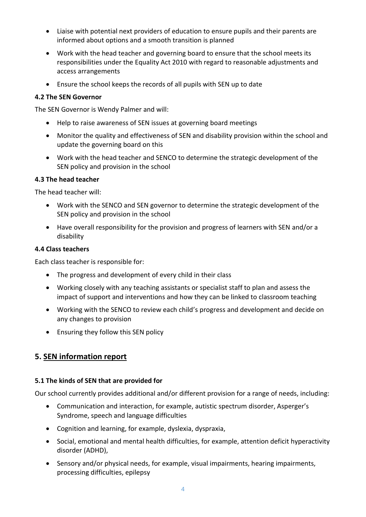- Liaise with potential next providers of education to ensure pupils and their parents are informed about options and a smooth transition is planned
- Work with the head teacher and governing board to ensure that the school meets its responsibilities under the Equality Act 2010 with regard to reasonable adjustments and access arrangements
- Ensure the school keeps the records of all pupils with SEN up to date

#### **4.2 The SEN Governor**

The SEN Governor is Wendy Palmer and will:

- Help to raise awareness of SEN issues at governing board meetings
- Monitor the quality and effectiveness of SEN and disability provision within the school and update the governing board on this
- Work with the head teacher and SENCO to determine the strategic development of the SEN policy and provision in the school

#### **4.3 The head teacher**

The head teacher will:

- Work with the SENCO and SEN governor to determine the strategic development of the SEN policy and provision in the school
- Have overall responsibility for the provision and progress of learners with SEN and/or a disability

#### **4.4 Class teachers**

Each class teacher is responsible for:

- The progress and development of every child in their class
- Working closely with any teaching assistants or specialist staff to plan and assess the impact of support and interventions and how they can be linked to classroom teaching
- Working with the SENCO to review each child's progress and development and decide on any changes to provision
- Ensuring they follow this SEN policy

# **5. SEN information report**

#### **5.1 The kinds of SEN that are provided for**

Our school currently provides additional and/or different provision for a range of needs, including:

- Communication and interaction, for example, autistic spectrum disorder, Asperger's Syndrome, speech and language difficulties
- Cognition and learning, for example, dyslexia, dyspraxia,
- Social, emotional and mental health difficulties, for example, attention deficit hyperactivity disorder (ADHD),
- Sensory and/or physical needs, for example, visual impairments, hearing impairments, processing difficulties, epilepsy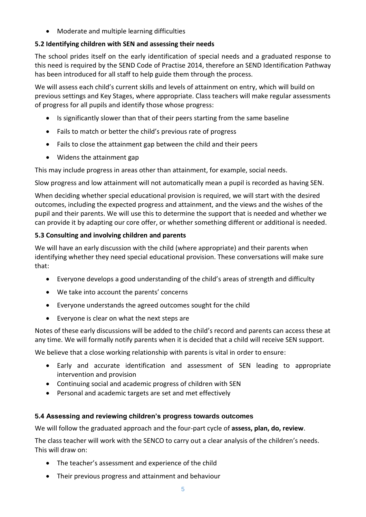• Moderate and multiple learning difficulties

#### **5.2 Identifying children with SEN and assessing their needs**

The school prides itself on the early identification of special needs and a graduated response to this need is required by the SEND Code of Practise 2014, therefore an SEND Identification Pathway has been introduced for all staff to help guide them through the process.

We will assess each child's current skills and levels of attainment on entry, which will build on previous settings and Key Stages, where appropriate. Class teachers will make regular assessments of progress for all pupils and identify those whose progress:

- Is significantly slower than that of their peers starting from the same baseline
- Fails to match or better the child's previous rate of progress
- Fails to close the attainment gap between the child and their peers
- Widens the attainment gap

This may include progress in areas other than attainment, for example, social needs.

Slow progress and low attainment will not automatically mean a pupil is recorded as having SEN.

When deciding whether special educational provision is required, we will start with the desired outcomes, including the expected progress and attainment, and the views and the wishes of the pupil and their parents. We will use this to determine the support that is needed and whether we can provide it by adapting our core offer, or whether something different or additional is needed.

#### **5.3 Consulting and involving children and parents**

We will have an early discussion with the child (where appropriate) and their parents when identifying whether they need special educational provision. These conversations will make sure that:

- Everyone develops a good understanding of the child's areas of strength and difficulty
- We take into account the parents' concerns
- Everyone understands the agreed outcomes sought for the child
- Everyone is clear on what the next steps are

Notes of these early discussions will be added to the child's record and parents can access these at any time. We will formally notify parents when it is decided that a child will receive SEN support.

We believe that a close working relationship with parents is vital in order to ensure:

- Early and accurate identification and assessment of SEN leading to appropriate intervention and provision
- Continuing social and academic progress of children with SEN
- Personal and academic targets are set and met effectively

#### **5.4 Assessing and reviewing children's progress towards outcomes**

We will follow the graduated approach and the four-part cycle of **assess, plan, do, review**.

The class teacher will work with the SENCO to carry out a clear analysis of the children's needs. This will draw on:

- The teacher's assessment and experience of the child
- Their previous progress and attainment and behaviour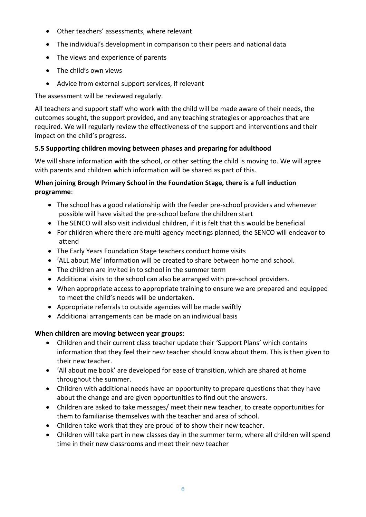- Other teachers' assessments, where relevant
- The individual's development in comparison to their peers and national data
- The views and experience of parents
- The child's own views
- Advice from external support services, if relevant

The assessment will be reviewed regularly.

All teachers and support staff who work with the child will be made aware of their needs, the outcomes sought, the support provided, and any teaching strategies or approaches that are required. We will regularly review the effectiveness of the support and interventions and their impact on the child's progress.

# **5.5 Supporting children moving between phases and preparing for adulthood**

We will share information with the school, or other setting the child is moving to. We will agree with parents and children which information will be shared as part of this.

#### **When joining Brough Primary School in the Foundation Stage, there is a full induction programme**:

- The school has a good relationship with the feeder pre-school providers and whenever possible will have visited the pre-school before the children start
- The SENCO will also visit individual children, if it is felt that this would be beneficial
- For children where there are multi-agency meetings planned, the SENCO will endeavor to attend
- The Early Years Foundation Stage teachers conduct home visits
- 'ALL about Me' information will be created to share between home and school.
- The children are invited in to school in the summer term
- Additional visits to the school can also be arranged with pre-school providers.
- When appropriate access to appropriate training to ensure we are prepared and equipped to meet the child's needs will be undertaken.
- Appropriate referrals to outside agencies will be made swiftly
- Additional arrangements can be made on an individual basis

# **When children are moving between year groups:**

- Children and their current class teacher update their 'Support Plans' which contains information that they feel their new teacher should know about them. This is then given to their new teacher.
- 'All about me book' are developed for ease of transition, which are shared at home throughout the summer.
- Children with additional needs have an opportunity to prepare questions that they have about the change and are given opportunities to find out the answers.
- Children are asked to take messages/ meet their new teacher, to create opportunities for them to familiarise themselves with the teacher and area of school.
- Children take work that they are proud of to show their new teacher.
- Children will take part in new classes day in the summer term, where all children will spend time in their new classrooms and meet their new teacher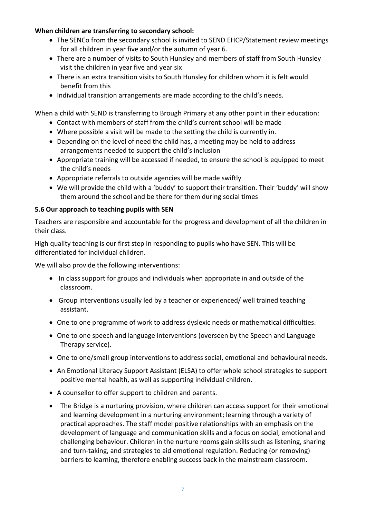#### **When children are transferring to secondary school:**

- The SENCo from the secondary school is invited to SEND EHCP/Statement review meetings for all children in year five and/or the autumn of year 6.
- There are a number of visits to South Hunsley and members of staff from South Hunsley visit the children in year five and year six
- There is an extra transition visits to South Hunsley for children whom it is felt would benefit from this
- Individual transition arrangements are made according to the child's needs.

When a child with SEND is transferring to Brough Primary at any other point in their education:

- Contact with members of staff from the child's current school will be made
- Where possible a visit will be made to the setting the child is currently in.
- Depending on the level of need the child has, a meeting may be held to address arrangements needed to support the child's inclusion
- Appropriate training will be accessed if needed, to ensure the school is equipped to meet the child's needs
- Appropriate referrals to outside agencies will be made swiftly
- We will provide the child with a 'buddy' to support their transition. Their 'buddy' will show them around the school and be there for them during social times

#### **5.6 Our approach to teaching pupils with SEN**

Teachers are responsible and accountable for the progress and development of all the children in their class.

High quality teaching is our first step in responding to pupils who have SEN. This will be differentiated for individual children.

We will also provide the following interventions:

- In class support for groups and individuals when appropriate in and outside of the classroom.
- Group interventions usually led by a teacher or experienced/ well trained teaching assistant.
- One to one programme of work to address dyslexic needs or mathematical difficulties.
- One to one speech and language interventions (overseen by the Speech and Language Therapy service).
- One to one/small group interventions to address social, emotional and behavioural needs.
- An Emotional Literacy Support Assistant (ELSA) to offer whole school strategies to support positive mental health, as well as supporting individual children.
- A counsellor to offer support to children and parents.
- The Bridge is a nurturing provision, where children can access support for their emotional and learning development in a nurturing environment; learning through a variety of practical approaches. The staff model positive relationships with an emphasis on the development of language and communication skills and a focus on social, emotional and challenging behaviour. Children in the nurture rooms gain skills such as listening, sharing and turn-taking, and strategies to aid emotional regulation. Reducing (or removing) barriers to learning, therefore enabling success back in the mainstream classroom.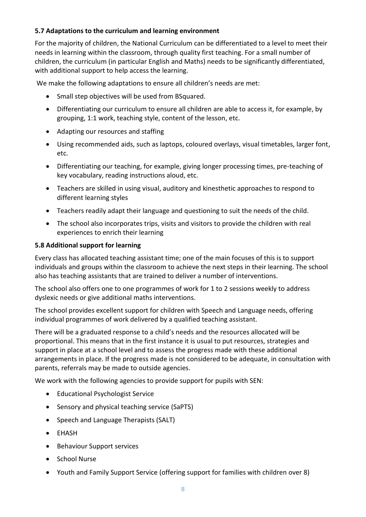#### **5.7 Adaptations to the curriculum and learning environment**

For the majority of children, the National Curriculum can be differentiated to a level to meet their needs in learning within the classroom, through quality first teaching. For a small number of children, the curriculum (in particular English and Maths) needs to be significantly differentiated, with additional support to help access the learning.

We make the following adaptations to ensure all children's needs are met:

- Small step objectives will be used from BSquared.
- Differentiating our curriculum to ensure all children are able to access it, for example, by grouping, 1:1 work, teaching style, content of the lesson, etc.
- Adapting our resources and staffing
- Using recommended aids, such as laptops, coloured overlays, visual timetables, larger font, etc.
- Differentiating our teaching, for example, giving longer processing times, pre-teaching of key vocabulary, reading instructions aloud, etc.
- Teachers are skilled in using visual, auditory and kinesthetic approaches to respond to different learning styles
- Teachers readily adapt their language and questioning to suit the needs of the child.
- The school also incorporates trips, visits and visitors to provide the children with real experiences to enrich their learning

#### **5.8 Additional support for learning**

Every class has allocated teaching assistant time; one of the main focuses of this is to support individuals and groups within the classroom to achieve the next steps in their learning. The school also has teaching assistants that are trained to deliver a number of interventions.

The school also offers one to one programmes of work for 1 to 2 sessions weekly to address dyslexic needs or give additional maths interventions.

The school provides excellent support for children with Speech and Language needs, offering individual programmes of work delivered by a qualified teaching assistant.

There will be a graduated response to a child's needs and the resources allocated will be proportional. This means that in the first instance it is usual to put resources, strategies and support in place at a school level and to assess the progress made with these additional arrangements in place. If the progress made is not considered to be adequate, in consultation with parents, referrals may be made to outside agencies.

We work with the following agencies to provide support for pupils with SEN:

- Educational Psychologist Service
- Sensory and physical teaching service (SaPTS)
- Speech and Language Therapists (SALT)
- EHASH
- Behaviour Support services
- School Nurse
- Youth and Family Support Service (offering support for families with children over 8)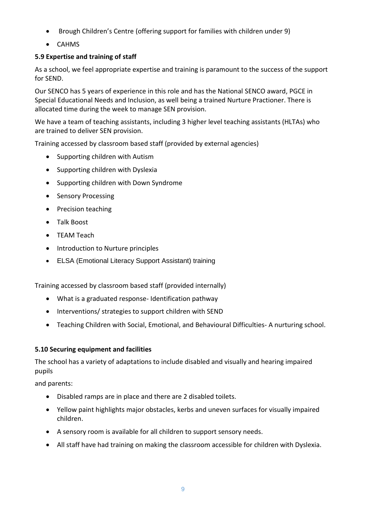- Brough Children's Centre (offering support for families with children under 9)
- CAHMS

# **5.9 Expertise and training of staff**

As a school, we feel appropriate expertise and training is paramount to the success of the support for SEND.

Our SENCO has 5 years of experience in this role and has the National SENCO award, PGCE in Special Educational Needs and Inclusion, as well being a trained Nurture Practioner. There is allocated time during the week to manage SEN provision.

We have a team of teaching assistants, including 3 higher level teaching assistants (HLTAs) who are trained to deliver SEN provision.

Training accessed by classroom based staff (provided by external agencies)

- Supporting children with Autism
- Supporting children with Dyslexia
- Supporting children with Down Syndrome
- Sensory Processing
- Precision teaching
- Talk Boost
- TEAM Teach
- Introduction to Nurture principles
- ELSA (Emotional Literacy Support Assistant) training

Training accessed by classroom based staff (provided internally)

- What is a graduated response- Identification pathway
- Interventions/ strategies to support children with SEND
- Teaching Children with Social, Emotional, and Behavioural Difficulties- A nurturing school.

# **5.10 Securing equipment and facilities**

The school has a variety of adaptations to include disabled and visually and hearing impaired pupils

and parents:

- Disabled ramps are in place and there are 2 disabled toilets.
- Yellow paint highlights major obstacles, kerbs and uneven surfaces for visually impaired children.
- A sensory room is available for all children to support sensory needs.
- All staff have had training on making the classroom accessible for children with Dyslexia.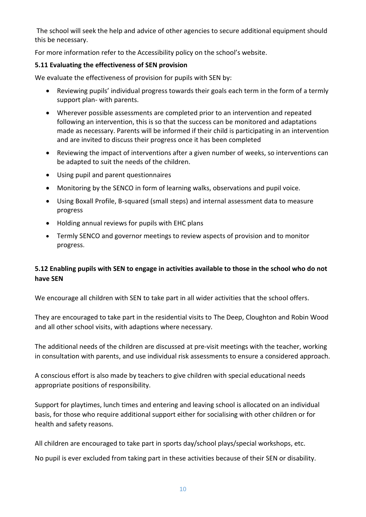The school will seek the help and advice of other agencies to secure additional equipment should this be necessary.

For more information refer to the Accessibility policy on the school's website.

#### **5.11 Evaluating the effectiveness of SEN provision**

We evaluate the effectiveness of provision for pupils with SEN by:

- Reviewing pupils' individual progress towards their goals each term in the form of a termly support plan- with parents.
- Wherever possible assessments are completed prior to an intervention and repeated following an intervention, this is so that the success can be monitored and adaptations made as necessary. Parents will be informed if their child is participating in an intervention and are invited to discuss their progress once it has been completed
- Reviewing the impact of interventions after a given number of weeks, so interventions can be adapted to suit the needs of the children.
- Using pupil and parent questionnaires
- Monitoring by the SENCO in form of learning walks, observations and pupil voice.
- Using Boxall Profile, B-squared (small steps) and internal assessment data to measure progress
- Holding annual reviews for pupils with EHC plans
- Termly SENCO and governor meetings to review aspects of provision and to monitor progress.

# **5.12 Enabling pupils with SEN to engage in activities available to those in the school who do not have SEN**

We encourage all children with SEN to take part in all wider activities that the school offers.

They are encouraged to take part in the residential visits to The Deep, Cloughton and Robin Wood and all other school visits, with adaptions where necessary.

The additional needs of the children are discussed at pre-visit meetings with the teacher, working in consultation with parents, and use individual risk assessments to ensure a considered approach.

A conscious effort is also made by teachers to give children with special educational needs appropriate positions of responsibility.

Support for playtimes, lunch times and entering and leaving school is allocated on an individual basis, for those who require additional support either for socialising with other children or for health and safety reasons.

All children are encouraged to take part in sports day/school plays/special workshops, etc.

No pupil is ever excluded from taking part in these activities because of their SEN or disability.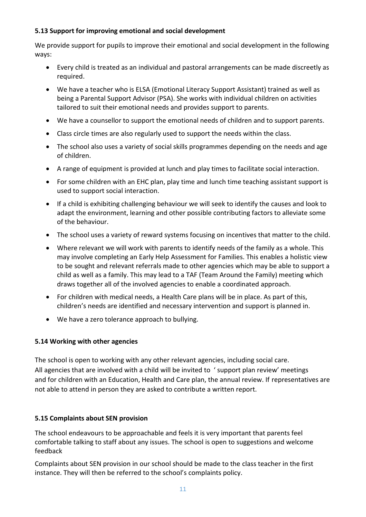#### **5.13 Support for improving emotional and social development**

We provide support for pupils to improve their emotional and social development in the following ways:

- Every child is treated as an individual and pastoral arrangements can be made discreetly as required.
- We have a teacher who is ELSA (Emotional Literacy Support Assistant) trained as well as being a Parental Support Advisor (PSA). She works with individual children on activities tailored to suit their emotional needs and provides support to parents.
- We have a counsellor to support the emotional needs of children and to support parents.
- Class circle times are also regularly used to support the needs within the class.
- The school also uses a variety of social skills programmes depending on the needs and age of children.
- A range of equipment is provided at lunch and play times to facilitate social interaction.
- For some children with an EHC plan, play time and lunch time teaching assistant support is used to support social interaction.
- If a child is exhibiting challenging behaviour we will seek to identify the causes and look to adapt the environment, learning and other possible contributing factors to alleviate some of the behaviour.
- The school uses a variety of reward systems focusing on incentives that matter to the child.
- Where relevant we will work with parents to identify needs of the family as a whole. This may involve completing an Early Help Assessment for Families. This enables a holistic view to be sought and relevant referrals made to other agencies which may be able to support a child as well as a family. This may lead to a TAF (Team Around the Family) meeting which draws together all of the involved agencies to enable a coordinated approach.
- For children with medical needs, a Health Care plans will be in place. As part of this, children's needs are identified and necessary intervention and support is planned in.
- We have a zero tolerance approach to bullying.

#### **5.14 Working with other agencies**

The school is open to working with any other relevant agencies, including social care. All agencies that are involved with a child will be invited to ' support plan review' meetings and for children with an Education, Health and Care plan, the annual review. If representatives are not able to attend in person they are asked to contribute a written report.

#### **5.15 Complaints about SEN provision**

The school endeavours to be approachable and feels it is very important that parents feel comfortable talking to staff about any issues. The school is open to suggestions and welcome feedback

Complaints about SEN provision in our school should be made to the class teacher in the first instance. They will then be referred to the school's complaints policy.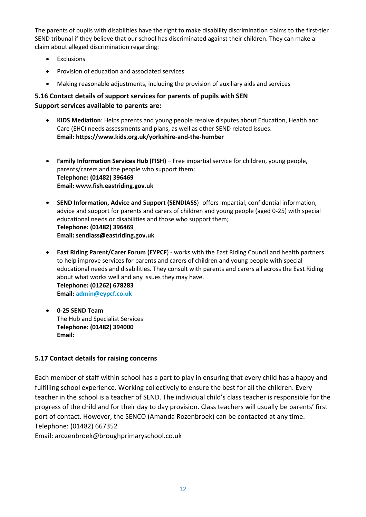The parents of pupils with disabilities have the right to make disability discrimination claims to the first-tier SEND tribunal if they believe that our school has discriminated against their children. They can make a claim about alleged discrimination regarding:

- Exclusions
- Provision of education and associated services
- Making reasonable adjustments, including the provision of auxiliary aids and services

# **5.16 Contact details of support services for parents of pupils with SEN Support services available to parents are:**

- **KIDS Mediation**: Helps parents and young people resolve disputes about Education, Health and Care (EHC) needs assessments and plans, as well as other SEND related issues. **Email: https://www.kids.org.uk/yorkshire-and-the-humber**
- **Family Information Services Hub (FISH)** Free impartial service for children, young people, parents/carers and the people who support them; **Telephone: (01482) 396469 Email: www.fish.eastriding.gov.uk**
- **SEND Information, Advice and Support (SENDIASS**)- offers impartial, confidential information, advice and support for parents and carers of children and young people (aged 0-25) with special educational needs or disabilities and those who support them; **Telephone: (01482) 396469 Email: sendiass@eastriding.gov.uk**
- **East Riding Parent/Carer Forum (EYPCF**) works with the East Riding Council and health partners to help improve services for parents and carers of children and young people with special educational needs and disabilities. They consult with parents and carers all across the East Riding about what works well and any issues they may have. **Telephone: (01262) 678283 Email: [admin@eypcf.co.uk](mailto:admin@eypcf.co.uk)**
- **0-25 SEND Team** The Hub and Specialist Services **Telephone: (01482) 394000 Email:**

#### **5.17 Contact details for raising concerns**

Each member of staff within school has a part to play in ensuring that every child has a happy and fulfilling school experience. Working collectively to ensure the best for all the children. Every teacher in the school is a teacher of SEND. The individual child's class teacher is responsible for the progress of the child and for their day to day provision. Class teachers will usually be parents' first port of contact. However, the SENCO (Amanda Rozenbroek) can be contacted at any time. Telephone: (01482) 667352

Email: arozenbroek@broughprimaryschool.co.uk